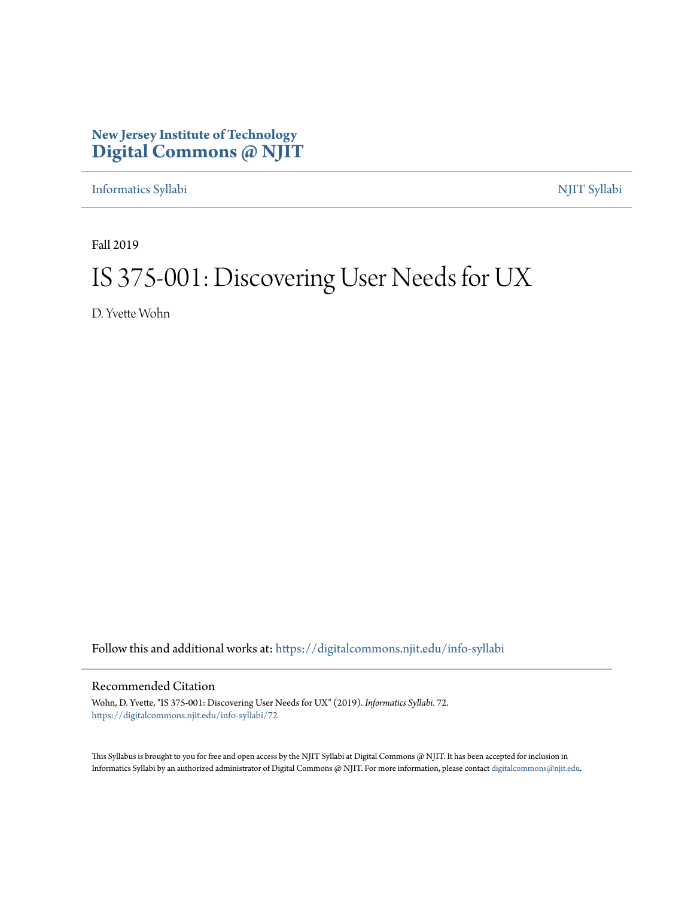# **New Jersey Institute of Technology [Digital Commons @ NJIT](https://digitalcommons.njit.edu/?utm_source=digitalcommons.njit.edu%2Finfo-syllabi%2F72&utm_medium=PDF&utm_campaign=PDFCoverPages)**

[Informatics Syllabi](https://digitalcommons.njit.edu/info-syllabi?utm_source=digitalcommons.njit.edu%2Finfo-syllabi%2F72&utm_medium=PDF&utm_campaign=PDFCoverPages) [NJIT Syllabi](https://digitalcommons.njit.edu/syllabi?utm_source=digitalcommons.njit.edu%2Finfo-syllabi%2F72&utm_medium=PDF&utm_campaign=PDFCoverPages)

Fall 2019

# IS 375-001: Discovering User Needs for UX

D. Yvette Wohn

Follow this and additional works at: [https://digitalcommons.njit.edu/info-syllabi](https://digitalcommons.njit.edu/info-syllabi?utm_source=digitalcommons.njit.edu%2Finfo-syllabi%2F72&utm_medium=PDF&utm_campaign=PDFCoverPages)

#### Recommended Citation

Wohn, D. Yvette, "IS 375-001: Discovering User Needs for UX" (2019). *Informatics Syllabi*. 72. [https://digitalcommons.njit.edu/info-syllabi/72](https://digitalcommons.njit.edu/info-syllabi/72?utm_source=digitalcommons.njit.edu%2Finfo-syllabi%2F72&utm_medium=PDF&utm_campaign=PDFCoverPages)

This Syllabus is brought to you for free and open access by the NJIT Syllabi at Digital Commons @ NJIT. It has been accepted for inclusion in Informatics Syllabi by an authorized administrator of Digital Commons @ NJIT. For more information, please contact [digitalcommons@njit.edu.](mailto:digitalcommons@njit.edu)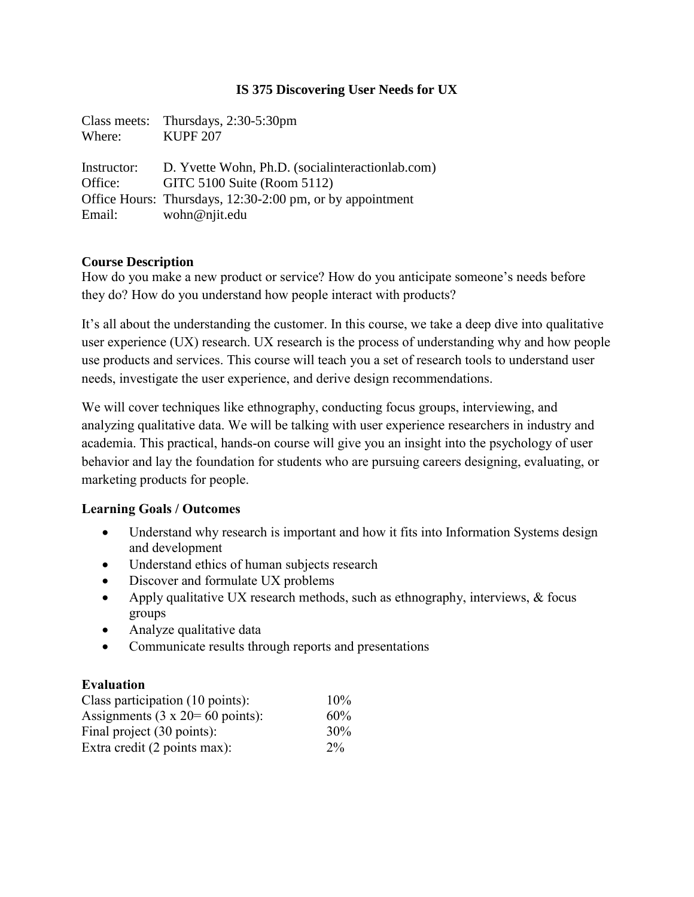#### **IS 375 Discovering User Needs for UX**

|             | Class meets: Thursdays, 2:30-5:30pm                       |
|-------------|-----------------------------------------------------------|
| Where:      | <b>KUPF 207</b>                                           |
|             |                                                           |
| Instructor: | D. Yvette Wohn, Ph.D. (socialinteractionlab.com)          |
| Office:     | GITC 5100 Suite (Room 5112)                               |
|             | Office Hours: Thursdays, 12:30-2:00 pm, or by appointment |
| Email:      | wohn@njit.edu                                             |

#### **Course Description**

How do you make a new product or service? How do you anticipate someone's needs before they do? How do you understand how people interact with products?

It's all about the understanding the customer. In this course, we take a deep dive into qualitative user experience (UX) research. UX research is the process of understanding why and how people use products and services. This course will teach you a set of research tools to understand user needs, investigate the user experience, and derive design recommendations.

We will cover techniques like ethnography, conducting focus groups, interviewing, and analyzing qualitative data. We will be talking with user experience researchers in industry and academia. This practical, hands-on course will give you an insight into the psychology of user behavior and lay the foundation for students who are pursuing careers designing, evaluating, or marketing products for people.

#### **Learning Goals / Outcomes**

- Understand why research is important and how it fits into Information Systems design and development
- Understand ethics of human subjects research
- Discover and formulate UX problems
- Apply qualitative UX research methods, such as ethnography, interviews, & focus groups
- Analyze qualitative data
- Communicate results through reports and presentations

# **Evaluation**

| Class participation (10 points):                  | 10%    |
|---------------------------------------------------|--------|
| Assignments $(3 \times 20 = 60 \text{ points})$ : | $60\%$ |
| Final project (30 points):                        | $30\%$ |
| Extra credit (2 points max):                      | $2\%$  |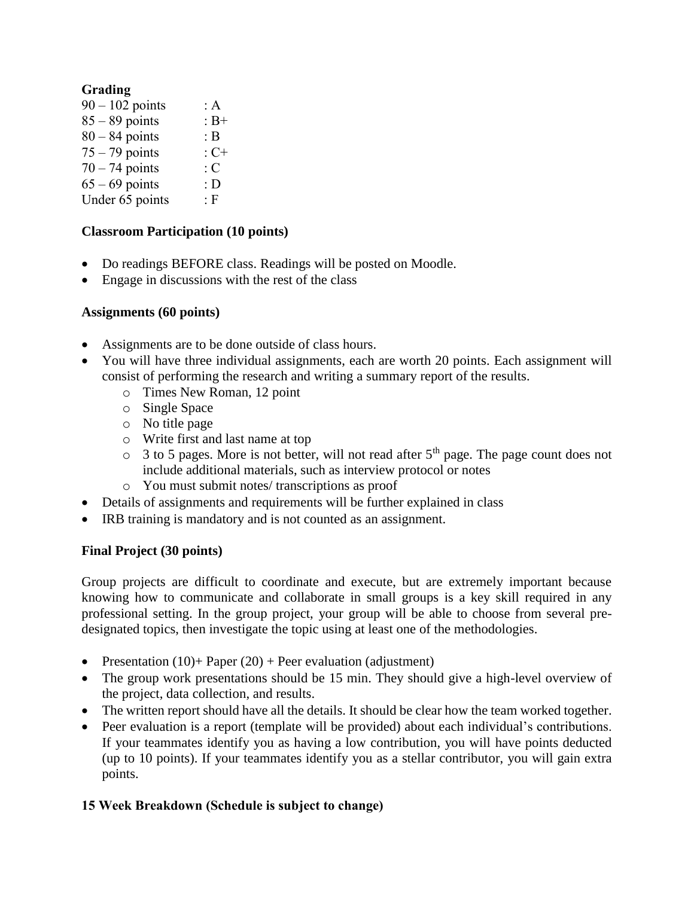# **Grading**

| : $A$                |
|----------------------|
| $B+$                 |
| $\, : \, \mathbf{B}$ |
| $: C+$               |
| :C                   |
| : D                  |
| : F                  |
|                      |

# **Classroom Participation (10 points)**

- Do readings BEFORE class. Readings will be posted on Moodle.
- Engage in discussions with the rest of the class

# **Assignments (60 points)**

- Assignments are to be done outside of class hours.
- You will have three individual assignments, each are worth 20 points. Each assignment will consist of performing the research and writing a summary report of the results.
	- o Times New Roman, 12 point
	- o Single Space
	- o No title page
	- o Write first and last name at top
	- $\circ$  3 to 5 pages. More is not better, will not read after 5<sup>th</sup> page. The page count does not include additional materials, such as interview protocol or notes
	- o You must submit notes/ transcriptions as proof
- Details of assignments and requirements will be further explained in class
- IRB training is mandatory and is not counted as an assignment.

# **Final Project (30 points)**

Group projects are difficult to coordinate and execute, but are extremely important because knowing how to communicate and collaborate in small groups is a key skill required in any professional setting. In the group project, your group will be able to choose from several predesignated topics, then investigate the topic using at least one of the methodologies.

- Presentation  $(10)$ + Paper  $(20)$  + Peer evaluation (adjustment)
- The group work presentations should be 15 min. They should give a high-level overview of the project, data collection, and results.
- The written report should have all the details. It should be clear how the team worked together.
- Peer evaluation is a report (template will be provided) about each individual's contributions. If your teammates identify you as having a low contribution, you will have points deducted (up to 10 points). If your teammates identify you as a stellar contributor, you will gain extra points.

# **15 Week Breakdown (Schedule is subject to change)**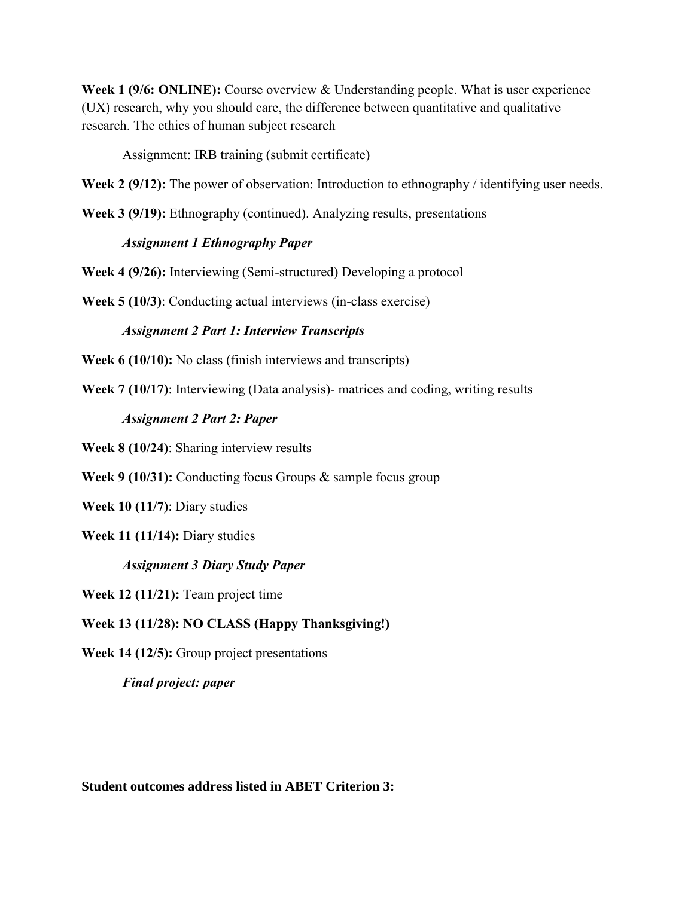**Week 1 (9/6: ONLINE):** Course overview & Understanding people. What is user experience (UX) research, why you should care, the difference between quantitative and qualitative research. The ethics of human subject research

Assignment: IRB training (submit certificate)

**Week 2 (9/12):** The power of observation: Introduction to ethnography / identifying user needs.

**Week 3 (9/19):** Ethnography (continued). Analyzing results, presentations

#### *Assignment 1 Ethnography Paper*

**Week 4 (9/26):** Interviewing (Semi-structured) Developing a protocol

**Week 5 (10/3)**: Conducting actual interviews (in-class exercise)

#### *Assignment 2 Part 1: Interview Transcripts*

**Week 6 (10/10):** No class (finish interviews and transcripts)

**Week 7 (10/17)**: Interviewing (Data analysis)- matrices and coding, writing results

#### *Assignment 2 Part 2: Paper*

**Week 8 (10/24)**: Sharing interview results

**Week 9 (10/31):** Conducting focus Groups & sample focus group

**Week 10 (11/7)**: Diary studies

**Week 11 (11/14):** Diary studies

# *Assignment 3 Diary Study Paper*

**Week 12 (11/21):** Team project time

**Week 13 (11/28): NO CLASS (Happy Thanksgiving!)**

**Week 14 (12/5):** Group project presentations

*Final project: paper*

**Student outcomes address listed in ABET Criterion 3:**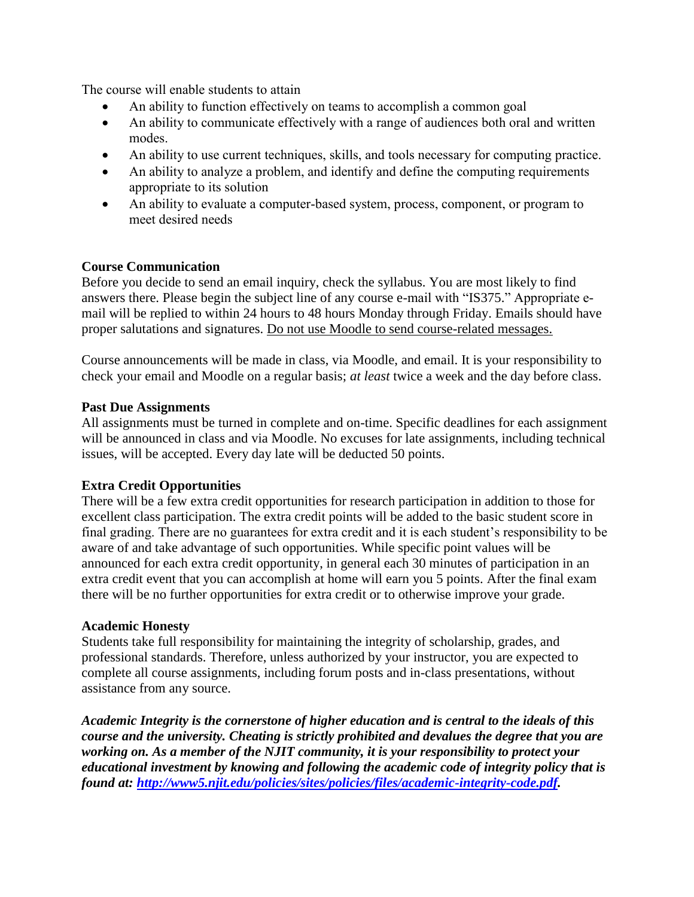The course will enable students to attain

- An ability to function effectively on teams to accomplish a common goal
- An ability to communicate effectively with a range of audiences both oral and written modes.
- An ability to use current techniques, skills, and tools necessary for computing practice.
- An ability to analyze a problem, and identify and define the computing requirements appropriate to its solution
- An ability to evaluate a computer-based system, process, component, or program to meet desired needs

# **Course Communication**

Before you decide to send an email inquiry, check the syllabus. You are most likely to find answers there. Please begin the subject line of any course e-mail with "IS375." Appropriate email will be replied to within 24 hours to 48 hours Monday through Friday. Emails should have proper salutations and signatures. Do not use Moodle to send course-related messages.

Course announcements will be made in class, via Moodle, and email. It is your responsibility to check your email and Moodle on a regular basis; *at least* twice a week and the day before class.

#### **Past Due Assignments**

All assignments must be turned in complete and on-time. Specific deadlines for each assignment will be announced in class and via Moodle. No excuses for late assignments, including technical issues, will be accepted. Every day late will be deducted 50 points.

# **Extra Credit Opportunities**

There will be a few extra credit opportunities for research participation in addition to those for excellent class participation. The extra credit points will be added to the basic student score in final grading. There are no guarantees for extra credit and it is each student's responsibility to be aware of and take advantage of such opportunities. While specific point values will be announced for each extra credit opportunity, in general each 30 minutes of participation in an extra credit event that you can accomplish at home will earn you 5 points. After the final exam there will be no further opportunities for extra credit or to otherwise improve your grade.

#### **Academic Honesty**

Students take full responsibility for maintaining the integrity of scholarship, grades, and professional standards. Therefore, unless authorized by your instructor, you are expected to complete all course assignments, including forum posts and in-class presentations, without assistance from any source.

*Academic Integrity is the cornerstone of higher education and is central to the ideals of this course and the university. Cheating is strictly prohibited and devalues the degree that you are working on. As a member of the NJIT community, it is your responsibility to protect your educational investment by knowing and following the academic code of integrity policy that is found at: [http://www5.njit.edu/policies/sites/policies/files/academic-integrity-code.pdf.](http://www5.njit.edu/policies/sites/policies/files/academic-integrity-code.pdf)*